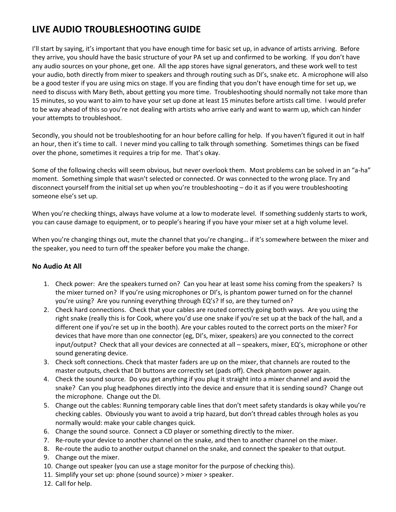## **LIVE AUDIO TROUBLESHOOTING GUIDE**

I'll start by saying, it's important that you have enough time for basic set up, in advance of artists arriving. Before they arrive, you should have the basic structure of your PA set up and confirmed to be working. If you don't have any audio sources on your phone, get one. All the app stores have signal generators, and these work well to test your audio, both directly from mixer to speakers and through routing such as DI's, snake etc. A microphone will also be a good tester if you are using mics on stage. If you are finding that you don't have enough time for set up, we need to discuss with Mary Beth, about getting you more time. Troubleshooting should normally not take more than 15 minutes, so you want to aim to have your set up done at least 15 minutes before artists call time. I would prefer to be way ahead of this so you're not dealing with artists who arrive early and want to warm up, which can hinder your attempts to troubleshoot.

Secondly, you should not be troubleshooting for an hour before calling for help. If you haven't figured it out in half an hour, then it's time to call. I never mind you calling to talk through something. Sometimes things can be fixed over the phone, sometimes it requires a trip for me. That's okay.

Some of the following checks will seem obvious, but never overlook them. Most problems can be solved in an "a-ha" moment. Something simple that wasn't selected or connected. Or was connected to the wrong place. Try and disconnect yourself from the initial set up when you're troubleshooting – do it as if you were troubleshooting someone else's set up.

When you're checking things, always have volume at a low to moderate level. If something suddenly starts to work, you can cause damage to equipment, or to people's hearing if you have your mixer set at a high volume level.

When you're changing things out, mute the channel that you're changing… if it's somewhere between the mixer and the speaker, you need to turn off the speaker before you make the change.

## **No Audio At All**

- 1. Check power: Are the speakers turned on? Can you hear at least some hiss coming from the speakers? Is the mixer turned on? If you're using microphones or DI's, is phantom power turned on for the channel you're using? Are you running everything through EQ's? If so, are they turned on?
- 2. Check hard connections. Check that your cables are routed correctly going both ways. Are you using the right snake (really this is for Cook, where you'd use one snake if you're set up at the back of the hall, and a different one if you're set up in the booth). Are your cables routed to the correct ports on the mixer? For devices that have more than one connector (eg, DI's, mixer, speakers) are you connected to the correct input/output? Check that all your devices are connected at all – speakers, mixer, EQ's, microphone or other sound generating device.
- 3. Check soft connections. Check that master faders are up on the mixer, that channels are routed to the master outputs, check that DI buttons are correctly set (pads off). Check phantom power again.
- 4. Check the sound source. Do you get anything if you plug it straight into a mixer channel and avoid the snake? Can you plug headphones directly into the device and ensure that it is sending sound? Change out the microphone. Change out the DI.
- 5. Change out the cables: Running temporary cable lines that don't meet safety standards is okay while you're checking cables. Obviously you want to avoid a trip hazard, but don't thread cables through holes as you normally would: make your cable changes quick.
- 6. Change the sound source. Connect a CD player or something directly to the mixer.
- 7. Re-route your device to another channel on the snake, and then to another channel on the mixer.
- 8. Re-route the audio to another output channel on the snake, and connect the speaker to that output.
- 9. Change out the mixer.
- 10. Change out speaker (you can use a stage monitor for the purpose of checking this).
- 11. Simplify your set up: phone (sound source) > mixer > speaker.
- 12. Call for help.